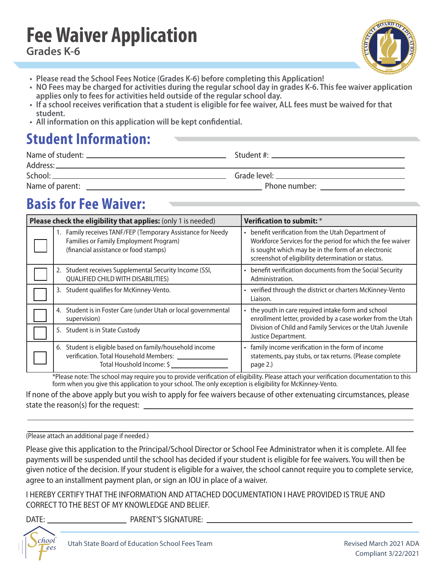## **Fee Waiver Application Grades K-6**



- **Please read the School Fees Notice (Grades K-6) before completing this Application!**
- **NO Fees may be charged for activities during the regular school day in grades K-6. This fee waiver application applies only to fees for activities held outside of the regular school day.**
- **If a school receives verification that a student is eligible for fee waiver, ALL fees must be waived for that student.**
- **All information on this application will be kept confidential.**

# **Student Information:**

| Address:        |                                                                                                                                                                                                                                |
|-----------------|--------------------------------------------------------------------------------------------------------------------------------------------------------------------------------------------------------------------------------|
| School:         |                                                                                                                                                                                                                                |
| Name of parent: | Phone number: will be a series of the contract of the contract of the contract of the contract of the contract of the contract of the contract of the contract of the contract of the contract of the contract of the contract |

# **Basis for Fee Waiver:**

| Please check the eligibility that applies: (only 1 is needed)                                                                               | Verification to submit: *                                                                                                                                                                                                     |  |  |
|---------------------------------------------------------------------------------------------------------------------------------------------|-------------------------------------------------------------------------------------------------------------------------------------------------------------------------------------------------------------------------------|--|--|
| Family receives TANF/FEP (Temporary Assistance for Needy<br>Families or Family Employment Program)<br>(financial assistance or food stamps) | • benefit verification from the Utah Department of<br>Workforce Services for the period for which the fee waiver<br>is sought which may be in the form of an electronic<br>screenshot of eligibility determination or status. |  |  |
| 2. Student receives Supplemental Security Income (SSI,<br><b>QUALIFIED CHILD WITH DISABILITIES)</b>                                         | • benefit verification documents from the Social Security<br>Administration.                                                                                                                                                  |  |  |
| 3. Student qualifies for McKinney-Vento.                                                                                                    | • verified through the district or charters McKinney-Vento<br>Liaison.                                                                                                                                                        |  |  |
| 4. Student is in Foster Care (under Utah or local governmental<br>supervision)                                                              | • the youth in care required intake form and school<br>enrollment letter, provided by a case worker from the Utah                                                                                                             |  |  |
| 5. Student is in State Custody                                                                                                              | Division of Child and Family Services or the Utah Juvenile<br>Justice Department.                                                                                                                                             |  |  |
| 6. Student is eligible based on family/household income<br>verification. Total Household Members: ___<br>Total Houshold Income: \$          | • family income verification in the form of income<br>statements, pay stubs, or tax returns. (Please complete<br>page 2.)                                                                                                     |  |  |

\*Please note: The school may require you to provide verification of eligibility. Please attach your verification documentation to this form when you give this application to your school. The only exception is eligibility for McKinney-Vento.

If none of the above apply but you wish to apply for fee waivers because of other extenuating circumstances, please state the reason(s) for the request: \_

#### (Please attach an additional page if needed.)

Please give this application to the Principal/School Director or School Fee Administrator when it is complete. All fee payments will be suspended until the school has decided if your student is eligible for fee waivers. You will then be given notice of the decision. If your student is eligible for a waiver, the school cannot require you to complete service, agree to an installment payment plan, or sign an IOU in place of a waiver.

I HEREBY CERTIFY THAT THE INFORMATION AND ATTACHED DOCUMENTATION I HAVE PROVIDED IS TRUE AND CORRECT TO THE BEST OF MY KNOWLEDGE AND BELIEF.

*S*

*F chool ees*

DATE: PARENT'S SIGNATURE: